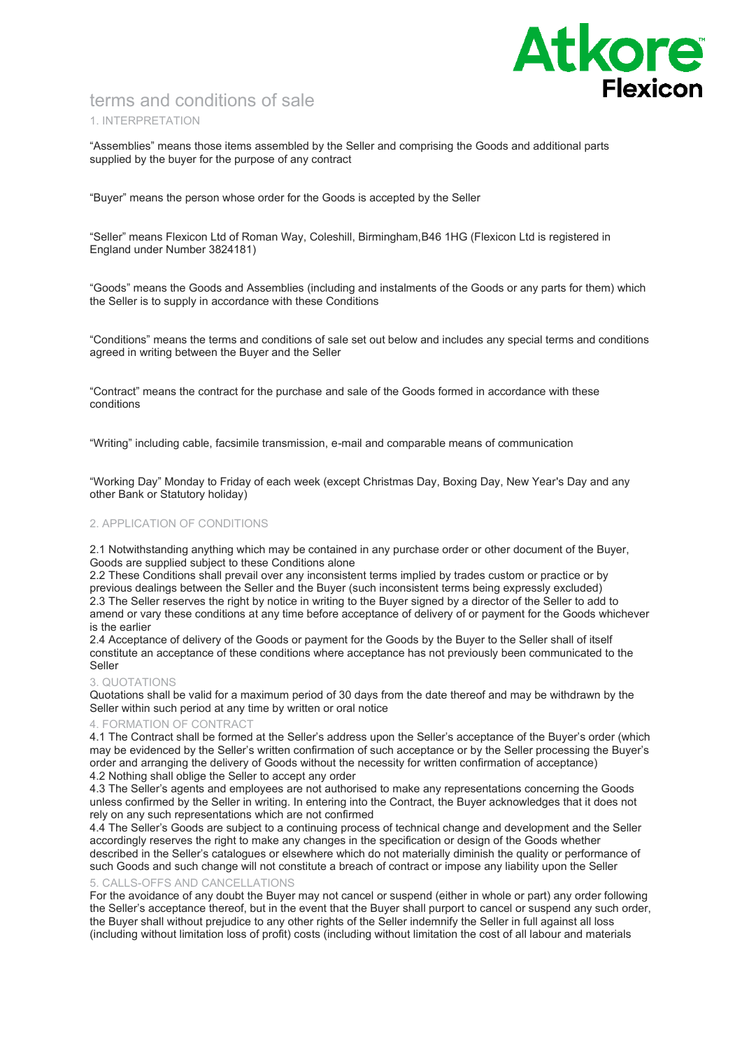

# terms and conditions of sale 1. INTERPRETATION

"Assemblies" means those items assembled by the Seller and comprising the Goods and additional parts supplied by the buyer for the purpose of any contract

"Buyer" means the person whose order for the Goods is accepted by the Seller

"Seller" means Flexicon Ltd of Roman Way, Coleshill, Birmingham,B46 1HG (Flexicon Ltd is registered in England under Number 3824181)

"Goods" means the Goods and Assemblies (including and instalments of the Goods or any parts for them) which the Seller is to supply in accordance with these Conditions

"Conditions" means the terms and conditions of sale set out below and includes any special terms and conditions agreed in writing between the Buyer and the Seller

"Contract" means the contract for the purchase and sale of the Goods formed in accordance with these conditions

"Writing" including cable, facsimile transmission, e-mail and comparable means of communication

"Working Day" Monday to Friday of each week (except Christmas Day, Boxing Day, New Year's Day and any other Bank or Statutory holiday)

# 2. APPLICATION OF CONDITIONS

2.1 Notwithstanding anything which may be contained in any purchase order or other document of the Buyer, Goods are supplied subject to these Conditions alone

2.2 These Conditions shall prevail over any inconsistent terms implied by trades custom or practice or by previous dealings between the Seller and the Buyer (such inconsistent terms being expressly excluded) 2.3 The Seller reserves the right by notice in writing to the Buyer signed by a director of the Seller to add to amend or vary these conditions at any time before acceptance of delivery of or payment for the Goods whichever is the earlier

2.4 Acceptance of delivery of the Goods or payment for the Goods by the Buyer to the Seller shall of itself constitute an acceptance of these conditions where acceptance has not previously been communicated to the Seller

### 3. QUOTATIONS

Quotations shall be valid for a maximum period of 30 days from the date thereof and may be withdrawn by the Seller within such period at any time by written or oral notice

### 4. FORMATION OF CONTRACT

4.1 The Contract shall be formed at the Seller's address upon the Seller's acceptance of the Buyer's order (which may be evidenced by the Seller's written confirmation of such acceptance or by the Seller processing the Buyer's order and arranging the delivery of Goods without the necessity for written confirmation of acceptance) 4.2 Nothing shall oblige the Seller to accept any order

4.3 The Seller's agents and employees are not authorised to make any representations concerning the Goods unless confirmed by the Seller in writing. In entering into the Contract, the Buyer acknowledges that it does not rely on any such representations which are not confirmed

4.4 The Seller's Goods are subject to a continuing process of technical change and development and the Seller accordingly reserves the right to make any changes in the specification or design of the Goods whether described in the Seller's catalogues or elsewhere which do not materially diminish the quality or performance of such Goods and such change will not constitute a breach of contract or impose any liability upon the Seller

# 5. CALLS-OFFS AND CANCELLATIONS

For the avoidance of any doubt the Buyer may not cancel or suspend (either in whole or part) any order following the Seller's acceptance thereof, but in the event that the Buyer shall purport to cancel or suspend any such order, the Buyer shall without prejudice to any other rights of the Seller indemnify the Seller in full against all loss (including without limitation loss of profit) costs (including without limitation the cost of all labour and materials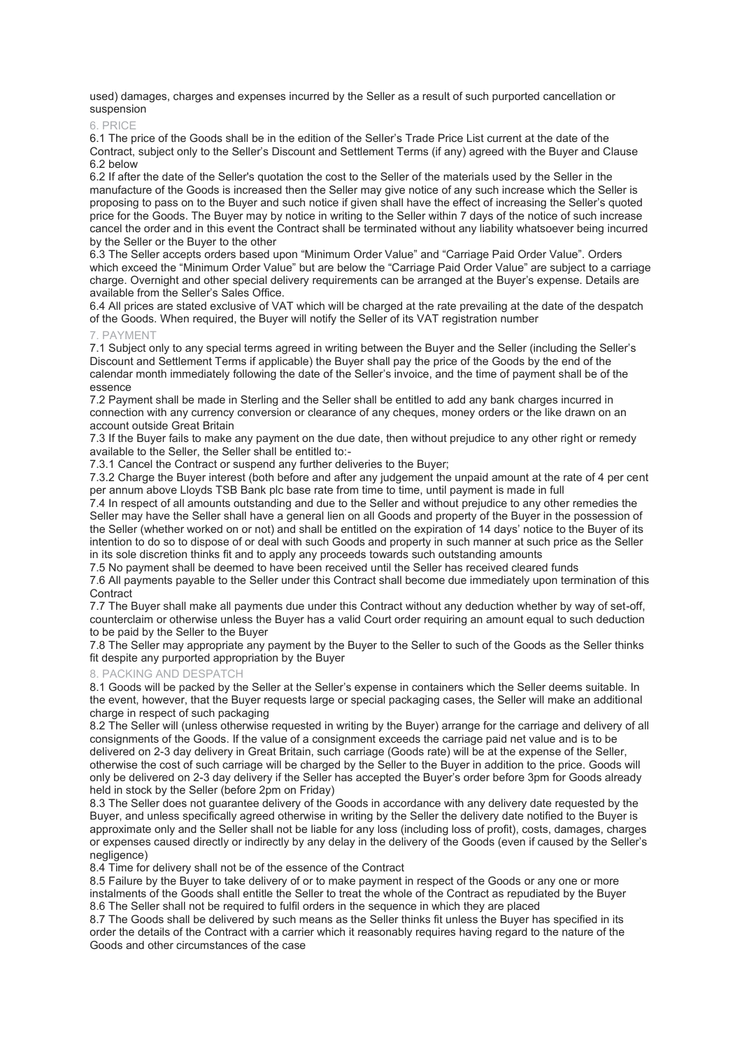used) damages, charges and expenses incurred by the Seller as a result of such purported cancellation or suspension

### 6. PRICE

6.1 The price of the Goods shall be in the edition of the Seller's Trade Price List current at the date of the Contract, subject only to the Seller's Discount and Settlement Terms (if any) agreed with the Buyer and Clause 6.2 below

6.2 If after the date of the Seller's quotation the cost to the Seller of the materials used by the Seller in the manufacture of the Goods is increased then the Seller may give notice of any such increase which the Seller is proposing to pass on to the Buyer and such notice if given shall have the effect of increasing the Seller's quoted price for the Goods. The Buyer may by notice in writing to the Seller within 7 days of the notice of such increase cancel the order and in this event the Contract shall be terminated without any liability whatsoever being incurred by the Seller or the Buyer to the other

6.3 The Seller accepts orders based upon "Minimum Order Value" and "Carriage Paid Order Value". Orders which exceed the "Minimum Order Value" but are below the "Carriage Paid Order Value" are subject to a carriage charge. Overnight and other special delivery requirements can be arranged at the Buyer's expense. Details are available from the Seller's Sales Office.

6.4 All prices are stated exclusive of VAT which will be charged at the rate prevailing at the date of the despatch of the Goods. When required, the Buyer will notify the Seller of its VAT registration number

### PAYMENT

7.1 Subject only to any special terms agreed in writing between the Buyer and the Seller (including the Seller's Discount and Settlement Terms if applicable) the Buyer shall pay the price of the Goods by the end of the calendar month immediately following the date of the Seller's invoice, and the time of payment shall be of the essence

7.2 Payment shall be made in Sterling and the Seller shall be entitled to add any bank charges incurred in connection with any currency conversion or clearance of any cheques, money orders or the like drawn on an account outside Great Britain

7.3 If the Buyer fails to make any payment on the due date, then without prejudice to any other right or remedy available to the Seller, the Seller shall be entitled to:-

7.3.1 Cancel the Contract or suspend any further deliveries to the Buyer;

7.3.2 Charge the Buyer interest (both before and after any judgement the unpaid amount at the rate of 4 per cent per annum above Lloyds TSB Bank plc base rate from time to time, until payment is made in full

7.4 In respect of all amounts outstanding and due to the Seller and without prejudice to any other remedies the Seller may have the Seller shall have a general lien on all Goods and property of the Buyer in the possession of the Seller (whether worked on or not) and shall be entitled on the expiration of 14 days' notice to the Buyer of its intention to do so to dispose of or deal with such Goods and property in such manner at such price as the Seller in its sole discretion thinks fit and to apply any proceeds towards such outstanding amounts

7.5 No payment shall be deemed to have been received until the Seller has received cleared funds

7.6 All payments payable to the Seller under this Contract shall become due immediately upon termination of this **Contract** 

7.7 The Buyer shall make all payments due under this Contract without any deduction whether by way of set-off, counterclaim or otherwise unless the Buyer has a valid Court order requiring an amount equal to such deduction to be paid by the Seller to the Buyer

7.8 The Seller may appropriate any payment by the Buyer to the Seller to such of the Goods as the Seller thinks fit despite any purported appropriation by the Buyer

### 8. PACKING AND DESPATCH

8.1 Goods will be packed by the Seller at the Seller's expense in containers which the Seller deems suitable. In the event, however, that the Buyer requests large or special packaging cases, the Seller will make an additional charge in respect of such packaging

8.2 The Seller will (unless otherwise requested in writing by the Buyer) arrange for the carriage and delivery of all consignments of the Goods. If the value of a consignment exceeds the carriage paid net value and is to be delivered on 2-3 day delivery in Great Britain, such carriage (Goods rate) will be at the expense of the Seller, otherwise the cost of such carriage will be charged by the Seller to the Buyer in addition to the price. Goods will only be delivered on 2-3 day delivery if the Seller has accepted the Buyer's order before 3pm for Goods already held in stock by the Seller (before 2pm on Friday)

8.3 The Seller does not guarantee delivery of the Goods in accordance with any delivery date requested by the Buyer, and unless specifically agreed otherwise in writing by the Seller the delivery date notified to the Buyer is approximate only and the Seller shall not be liable for any loss (including loss of profit), costs, damages, charges or expenses caused directly or indirectly by any delay in the delivery of the Goods (even if caused by the Seller's negligence)

8.4 Time for delivery shall not be of the essence of the Contract

8.5 Failure by the Buyer to take delivery of or to make payment in respect of the Goods or any one or more instalments of the Goods shall entitle the Seller to treat the whole of the Contract as repudiated by the Buyer 8.6 The Seller shall not be required to fulfil orders in the sequence in which they are placed

8.7 The Goods shall be delivered by such means as the Seller thinks fit unless the Buyer has specified in its order the details of the Contract with a carrier which it reasonably requires having regard to the nature of the Goods and other circumstances of the case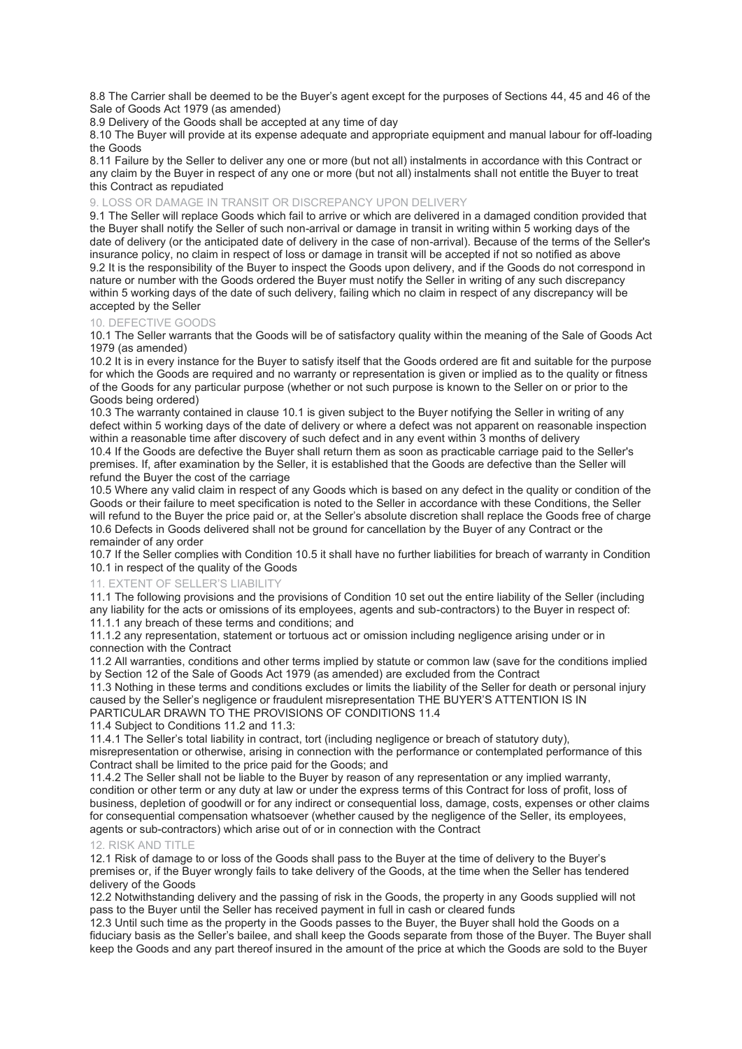8.8 The Carrier shall be deemed to be the Buyer's agent except for the purposes of Sections 44, 45 and 46 of the Sale of Goods Act 1979 (as amended)

8.9 Delivery of the Goods shall be accepted at any time of day

8.10 The Buyer will provide at its expense adequate and appropriate equipment and manual labour for off-loading the Goods

8.11 Failure by the Seller to deliver any one or more (but not all) instalments in accordance with this Contract or any claim by the Buyer in respect of any one or more (but not all) instalments shall not entitle the Buyer to treat this Contract as repudiated

# 9. LOSS OR DAMAGE IN TRANSIT OR DISCREPANCY UPON DELIVERY

9.1 The Seller will replace Goods which fail to arrive or which are delivered in a damaged condition provided that the Buyer shall notify the Seller of such non-arrival or damage in transit in writing within 5 working days of the date of delivery (or the anticipated date of delivery in the case of non-arrival). Because of the terms of the Seller's insurance policy, no claim in respect of loss or damage in transit will be accepted if not so notified as above 9.2 It is the responsibility of the Buyer to inspect the Goods upon delivery, and if the Goods do not correspond in nature or number with the Goods ordered the Buyer must notify the Seller in writing of any such discrepancy within 5 working days of the date of such delivery, failing which no claim in respect of any discrepancy will be accepted by the Seller

### 10. DEFECTIVE GOODS

10.1 The Seller warrants that the Goods will be of satisfactory quality within the meaning of the Sale of Goods Act 1979 (as amended)

10.2 It is in every instance for the Buyer to satisfy itself that the Goods ordered are fit and suitable for the purpose for which the Goods are required and no warranty or representation is given or implied as to the quality or fitness of the Goods for any particular purpose (whether or not such purpose is known to the Seller on or prior to the Goods being ordered)

10.3 The warranty contained in clause 10.1 is given subject to the Buyer notifying the Seller in writing of any defect within 5 working days of the date of delivery or where a defect was not apparent on reasonable inspection within a reasonable time after discovery of such defect and in any event within 3 months of delivery 10.4 If the Goods are defective the Buyer shall return them as soon as practicable carriage paid to the Seller's premises. If, after examination by the Seller, it is established that the Goods are defective than the Seller will refund the Buyer the cost of the carriage

10.5 Where any valid claim in respect of any Goods which is based on any defect in the quality or condition of the Goods or their failure to meet specification is noted to the Seller in accordance with these Conditions, the Seller will refund to the Buyer the price paid or, at the Seller's absolute discretion shall replace the Goods free of charge 10.6 Defects in Goods delivered shall not be ground for cancellation by the Buyer of any Contract or the remainder of any order

10.7 If the Seller complies with Condition 10.5 it shall have no further liabilities for breach of warranty in Condition 10.1 in respect of the quality of the Goods

### 11. EXTENT OF SELLER'S LIABILITY

11.1 The following provisions and the provisions of Condition 10 set out the entire liability of the Seller (including any liability for the acts or omissions of its employees, agents and sub-contractors) to the Buyer in respect of: 11.1.1 any breach of these terms and conditions; and

11.1.2 any representation, statement or tortuous act or omission including negligence arising under or in connection with the Contract

11.2 All warranties, conditions and other terms implied by statute or common law (save for the conditions implied by Section 12 of the Sale of Goods Act 1979 (as amended) are excluded from the Contract

11.3 Nothing in these terms and conditions excludes or limits the liability of the Seller for death or personal injury caused by the Seller's negligence or fraudulent misrepresentation THE BUYER'S ATTENTION IS IN PARTICULAR DRAWN TO THE PROVISIONS OF CONDITIONS 11.4

11.4 Subject to Conditions 11.2 and 11.3:

11.4.1 The Seller's total liability in contract, tort (including negligence or breach of statutory duty), misrepresentation or otherwise, arising in connection with the performance or contemplated performance of this Contract shall be limited to the price paid for the Goods; and

11.4.2 The Seller shall not be liable to the Buyer by reason of any representation or any implied warranty, condition or other term or any duty at law or under the express terms of this Contract for loss of profit, loss of business, depletion of goodwill or for any indirect or consequential loss, damage, costs, expenses or other claims for consequential compensation whatsoever (whether caused by the negligence of the Seller, its employees, agents or sub-contractors) which arise out of or in connection with the Contract

### 12. RISK AND TITLE

12.1 Risk of damage to or loss of the Goods shall pass to the Buyer at the time of delivery to the Buyer's premises or, if the Buyer wrongly fails to take delivery of the Goods, at the time when the Seller has tendered delivery of the Goods

12.2 Notwithstanding delivery and the passing of risk in the Goods, the property in any Goods supplied will not pass to the Buyer until the Seller has received payment in full in cash or cleared funds

12.3 Until such time as the property in the Goods passes to the Buyer, the Buyer shall hold the Goods on a fiduciary basis as the Seller's bailee, and shall keep the Goods separate from those of the Buyer. The Buyer shall keep the Goods and any part thereof insured in the amount of the price at which the Goods are sold to the Buyer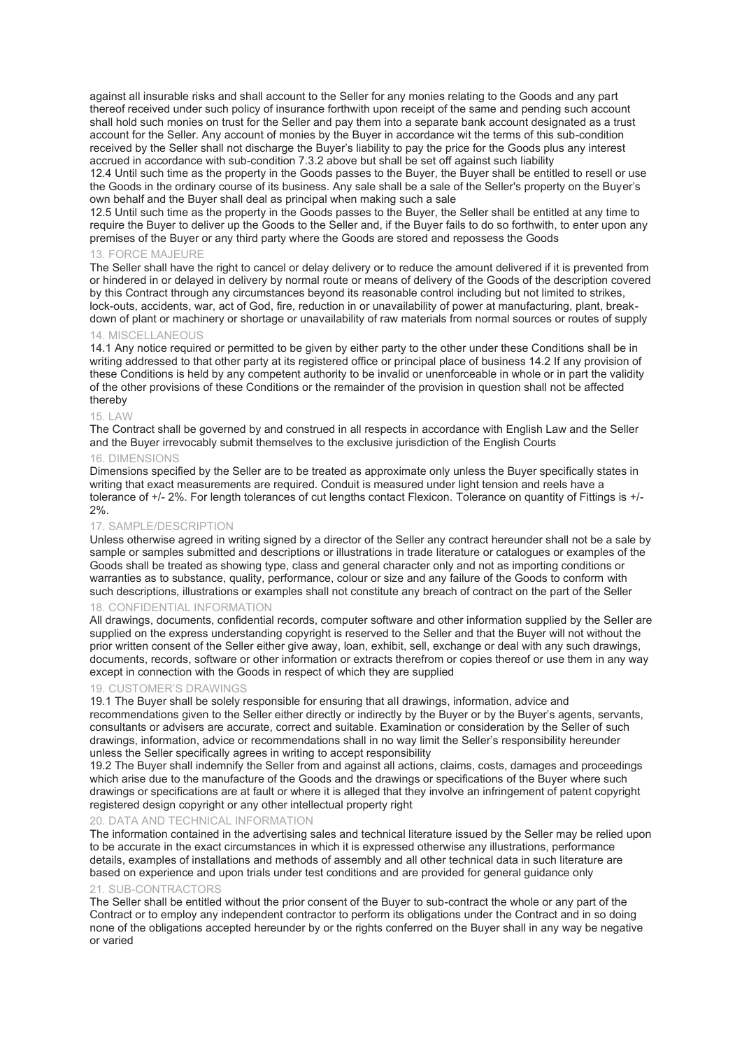against all insurable risks and shall account to the Seller for any monies relating to the Goods and any part thereof received under such policy of insurance forthwith upon receipt of the same and pending such account shall hold such monies on trust for the Seller and pay them into a separate bank account designated as a trust account for the Seller. Any account of monies by the Buyer in accordance wit the terms of this sub-condition received by the Seller shall not discharge the Buyer's liability to pay the price for the Goods plus any interest accrued in accordance with sub-condition 7.3.2 above but shall be set off against such liability

12.4 Until such time as the property in the Goods passes to the Buyer, the Buyer shall be entitled to resell or use the Goods in the ordinary course of its business. Any sale shall be a sale of the Seller's property on the Buyer's own behalf and the Buyer shall deal as principal when making such a sale

12.5 Until such time as the property in the Goods passes to the Buyer, the Seller shall be entitled at any time to require the Buyer to deliver up the Goods to the Seller and, if the Buyer fails to do so forthwith, to enter upon any premises of the Buyer or any third party where the Goods are stored and repossess the Goods

# 13. FORCE MAJEURE

The Seller shall have the right to cancel or delay delivery or to reduce the amount delivered if it is prevented from or hindered in or delayed in delivery by normal route or means of delivery of the Goods of the description covered by this Contract through any circumstances beyond its reasonable control including but not limited to strikes, lock-outs, accidents, war, act of God, fire, reduction in or unavailability of power at manufacturing, plant, breakdown of plant or machinery or shortage or unavailability of raw materials from normal sources or routes of supply

# 14. MISCELLANEOUS

14.1 Any notice required or permitted to be given by either party to the other under these Conditions shall be in writing addressed to that other party at its registered office or principal place of business 14.2 If any provision of these Conditions is held by any competent authority to be invalid or unenforceable in whole or in part the validity of the other provisions of these Conditions or the remainder of the provision in question shall not be affected thereby

#### 15. LAW

The Contract shall be governed by and construed in all respects in accordance with English Law and the Seller and the Buyer irrevocably submit themselves to the exclusive jurisdiction of the English Courts

# 16. DIMENSIONS

Dimensions specified by the Seller are to be treated as approximate only unless the Buyer specifically states in writing that exact measurements are required. Conduit is measured under light tension and reels have a tolerance of +/- 2%. For length tolerances of cut lengths contact Flexicon. Tolerance on quantity of Fittings is +/- 2%.

### 17. SAMPLE/DESCRIPTION

Unless otherwise agreed in writing signed by a director of the Seller any contract hereunder shall not be a sale by sample or samples submitted and descriptions or illustrations in trade literature or catalogues or examples of the Goods shall be treated as showing type, class and general character only and not as importing conditions or warranties as to substance, quality, performance, colour or size and any failure of the Goods to conform with such descriptions, illustrations or examples shall not constitute any breach of contract on the part of the Seller

### 18. CONFIDENTIAL INFORMATION

All drawings, documents, confidential records, computer software and other information supplied by the Seller are supplied on the express understanding copyright is reserved to the Seller and that the Buyer will not without the prior written consent of the Seller either give away, loan, exhibit, sell, exchange or deal with any such drawings, documents, records, software or other information or extracts therefrom or copies thereof or use them in any way except in connection with the Goods in respect of which they are supplied

#### 19. CUSTOMER'S DRAWINGS

19.1 The Buyer shall be solely responsible for ensuring that all drawings, information, advice and recommendations given to the Seller either directly or indirectly by the Buyer or by the Buyer's agents, servants, consultants or advisers are accurate, correct and suitable. Examination or consideration by the Seller of such drawings, information, advice or recommendations shall in no way limit the Seller's responsibility hereunder unless the Seller specifically agrees in writing to accept responsibility

19.2 The Buyer shall indemnify the Seller from and against all actions, claims, costs, damages and proceedings which arise due to the manufacture of the Goods and the drawings or specifications of the Buyer where such drawings or specifications are at fault or where it is alleged that they involve an infringement of patent copyright registered design copyright or any other intellectual property right

### 20. DATA AND TECHNICAL INFORMATION

The information contained in the advertising sales and technical literature issued by the Seller may be relied upon to be accurate in the exact circumstances in which it is expressed otherwise any illustrations, performance details, examples of installations and methods of assembly and all other technical data in such literature are based on experience and upon trials under test conditions and are provided for general guidance only

### 21. SUB-CONTRACTORS

The Seller shall be entitled without the prior consent of the Buyer to sub-contract the whole or any part of the Contract or to employ any independent contractor to perform its obligations under the Contract and in so doing none of the obligations accepted hereunder by or the rights conferred on the Buyer shall in any way be negative or varied